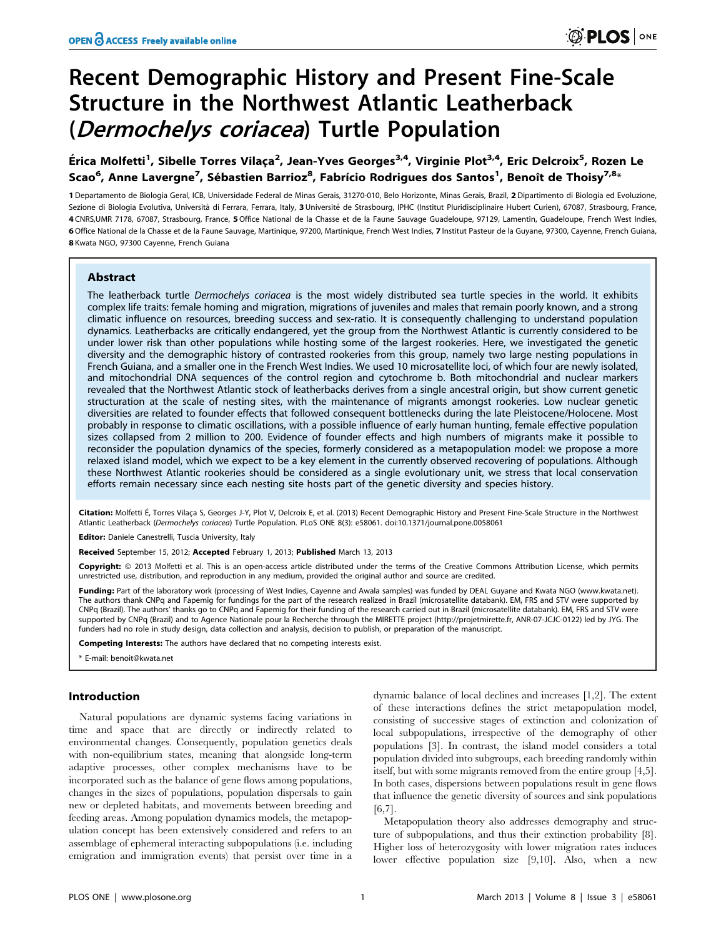# Recent Demographic History and Present Fine-Scale Structure in the Northwest Atlantic Leatherback (Dermochelys coriacea) Turtle Population

Érica Molfetti<sup>1</sup>, Sibelle Torres Vilaça<sup>2</sup>, Jean-Yves Georges<sup>3,4</sup>, Virginie Plot<sup>3,4</sup>, Eric Delcroix<sup>5</sup>, Rozen Le Scao<sup>6</sup>, Anne Lavergne<sup>7</sup>, Sébastien Barrioz<sup>8</sup>, Fabrício Rodrigues dos Santos<sup>1</sup>, Benoît de Thoisy<sup>7,8</sup>\*

1 Departamento de Biologia Geral, ICB, Universidade Federal de Minas Gerais, 31270-010, Belo Horizonte, Minas Gerais, Brazil, 2 Dipartimento di Biologia ed Evoluzione, Sezione di Biologia Evolutiva, Università di Ferrara, Ferrara, Italy, 3 Université de Strasbourg, IPHC (Institut Pluridisciplinaire Hubert Curien), 67087, Strasbourg, France, 4 CNRS,UMR 7178, 67087, Strasbourg, France, 5Office National de la Chasse et de la Faune Sauvage Guadeloupe, 97129, Lamentin, Guadeloupe, French West Indies, 6Office National de la Chasse et de la Faune Sauvage, Martinique, 97200, Martinique, French West Indies, 7 Institut Pasteur de la Guyane, 97300, Cayenne, French Guiana, 8 Kwata NGO, 97300 Cayenne, French Guiana

# Abstract

The leatherback turtle Dermochelys coriacea is the most widely distributed sea turtle species in the world. It exhibits complex life traits: female homing and migration, migrations of juveniles and males that remain poorly known, and a strong climatic influence on resources, breeding success and sex-ratio. It is consequently challenging to understand population dynamics. Leatherbacks are critically endangered, yet the group from the Northwest Atlantic is currently considered to be under lower risk than other populations while hosting some of the largest rookeries. Here, we investigated the genetic diversity and the demographic history of contrasted rookeries from this group, namely two large nesting populations in French Guiana, and a smaller one in the French West Indies. We used 10 microsatellite loci, of which four are newly isolated, and mitochondrial DNA sequences of the control region and cytochrome b. Both mitochondrial and nuclear markers revealed that the Northwest Atlantic stock of leatherbacks derives from a single ancestral origin, but show current genetic structuration at the scale of nesting sites, with the maintenance of migrants amongst rookeries. Low nuclear genetic diversities are related to founder effects that followed consequent bottlenecks during the late Pleistocene/Holocene. Most probably in response to climatic oscillations, with a possible influence of early human hunting, female effective population sizes collapsed from 2 million to 200. Evidence of founder effects and high numbers of migrants make it possible to reconsider the population dynamics of the species, formerly considered as a metapopulation model: we propose a more relaxed island model, which we expect to be a key element in the currently observed recovering of populations. Although these Northwest Atlantic rookeries should be considered as a single evolutionary unit, we stress that local conservation efforts remain necessary since each nesting site hosts part of the genetic diversity and species history.

Citation: Molfetti É, Torres Vilaça S, Georges J-Y, Plot V, Delcroix E, et al. (2013) Recent Demographic History and Present Fine-Scale Structure in the Northwest Atlantic Leatherback (Dermochelys coriacea) Turtle Population. PLoS ONE 8(3): e58061. doi:10.1371/journal.pone.0058061

Editor: Daniele Canestrelli, Tuscia University, Italy

Received September 15, 2012; Accepted February 1, 2013; Published March 13, 2013

Copyright: © 2013 Molfetti et al. This is an open-access article distributed under the terms of the Creative Commons Attribution License, which permits unrestricted use, distribution, and reproduction in any medium, provided the original author and source are credited.

Funding: Part of the laboratory work (processing of West Indies, Cayenne and Awala samples) was funded by DEAL Guyane and Kwata NGO (www.kwata.net). The authors thank CNPq and Fapemig for fundings for the part of the research realized in Brazil (microsatellite databank). EM, FRS and STV were supported by CNPq (Brazil). The authors' thanks go to CNPq and Fapemig for their funding of the research carried out in Brazil (microsatellite databank). EM, FRS and STV were supported by CNPq (Brazil) and to Agence Nationale pour la Recherche through the MIRETTE project (http://projetmirette.fr, ANR-07-JCJC-0122) led by JYG. The funders had no role in study design, data collection and analysis, decision to publish, or preparation of the manuscript.

Competing Interests: The authors have declared that no competing interests exist.

\* E-mail: benoit@kwata.net

## Introduction

Natural populations are dynamic systems facing variations in time and space that are directly or indirectly related to environmental changes. Consequently, population genetics deals with non-equilibrium states, meaning that alongside long-term adaptive processes, other complex mechanisms have to be incorporated such as the balance of gene flows among populations, changes in the sizes of populations, population dispersals to gain new or depleted habitats, and movements between breeding and feeding areas. Among population dynamics models, the metapopulation concept has been extensively considered and refers to an assemblage of ephemeral interacting subpopulations (i.e. including emigration and immigration events) that persist over time in a

dynamic balance of local declines and increases [1,2]. The extent of these interactions defines the strict metapopulation model, consisting of successive stages of extinction and colonization of local subpopulations, irrespective of the demography of other populations [3]. In contrast, the island model considers a total population divided into subgroups, each breeding randomly within itself, but with some migrants removed from the entire group [4,5]. In both cases, dispersions between populations result in gene flows that influence the genetic diversity of sources and sink populations [6,7].

Metapopulation theory also addresses demography and structure of subpopulations, and thus their extinction probability [8]. Higher loss of heterozygosity with lower migration rates induces lower effective population size [9,10]. Also, when a new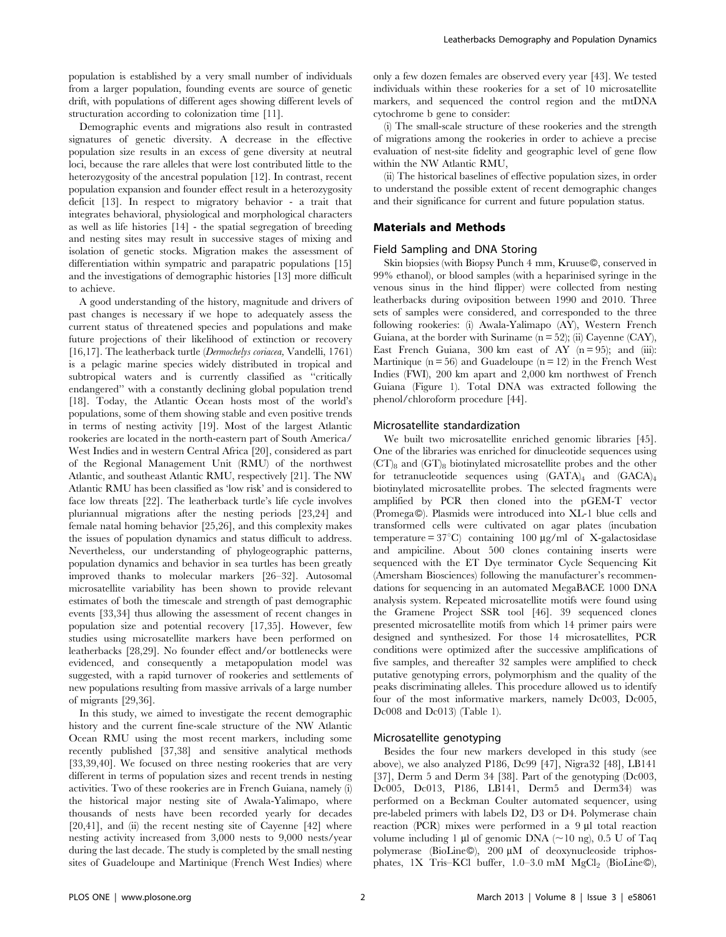population is established by a very small number of individuals from a larger population, founding events are source of genetic drift, with populations of different ages showing different levels of structuration according to colonization time [11].

Demographic events and migrations also result in contrasted signatures of genetic diversity. A decrease in the effective population size results in an excess of gene diversity at neutral loci, because the rare alleles that were lost contributed little to the heterozygosity of the ancestral population [12]. In contrast, recent population expansion and founder effect result in a heterozygosity deficit [13]. In respect to migratory behavior - a trait that integrates behavioral, physiological and morphological characters as well as life histories [14] - the spatial segregation of breeding and nesting sites may result in successive stages of mixing and isolation of genetic stocks. Migration makes the assessment of differentiation within sympatric and parapatric populations [15] and the investigations of demographic histories [13] more difficult to achieve.

A good understanding of the history, magnitude and drivers of past changes is necessary if we hope to adequately assess the current status of threatened species and populations and make future projections of their likelihood of extinction or recovery [16,17]. The leatherback turtle (Dermochelys coriacea, Vandelli, 1761) is a pelagic marine species widely distributed in tropical and subtropical waters and is currently classified as ''critically endangered'' with a constantly declining global population trend [18]. Today, the Atlantic Ocean hosts most of the world's populations, some of them showing stable and even positive trends in terms of nesting activity [19]. Most of the largest Atlantic rookeries are located in the north-eastern part of South America/ West Indies and in western Central Africa [20], considered as part of the Regional Management Unit (RMU) of the northwest Atlantic, and southeast Atlantic RMU, respectively [21]. The NW Atlantic RMU has been classified as 'low risk' and is considered to face low threats [22]. The leatherback turtle's life cycle involves pluriannual migrations after the nesting periods [23,24] and female natal homing behavior [25,26], and this complexity makes the issues of population dynamics and status difficult to address. Nevertheless, our understanding of phylogeographic patterns, population dynamics and behavior in sea turtles has been greatly improved thanks to molecular markers [26–32]. Autosomal microsatellite variability has been shown to provide relevant estimates of both the timescale and strength of past demographic events [33,34] thus allowing the assessment of recent changes in population size and potential recovery [17,35]. However, few studies using microsatellite markers have been performed on leatherbacks [28,29]. No founder effect and/or bottlenecks were evidenced, and consequently a metapopulation model was suggested, with a rapid turnover of rookeries and settlements of new populations resulting from massive arrivals of a large number of migrants [29,36].

In this study, we aimed to investigate the recent demographic history and the current fine-scale structure of the NW Atlantic Ocean RMU using the most recent markers, including some recently published [37,38] and sensitive analytical methods [33,39,40]. We focused on three nesting rookeries that are very different in terms of population sizes and recent trends in nesting activities. Two of these rookeries are in French Guiana, namely (i) the historical major nesting site of Awala-Yalimapo, where thousands of nests have been recorded yearly for decades [20,41], and (ii) the recent nesting site of Cayenne [42] where nesting activity increased from 3,000 nests to 9,000 nests/year during the last decade. The study is completed by the small nesting sites of Guadeloupe and Martinique (French West Indies) where

only a few dozen females are observed every year [43]. We tested individuals within these rookeries for a set of 10 microsatellite markers, and sequenced the control region and the mtDNA cytochrome b gene to consider:

(i) The small-scale structure of these rookeries and the strength of migrations among the rookeries in order to achieve a precise evaluation of nest-site fidelity and geographic level of gene flow within the NW Atlantic RMU,

(ii) The historical baselines of effective population sizes, in order to understand the possible extent of recent demographic changes and their significance for current and future population status.

# Materials and Methods

#### Field Sampling and DNA Storing

Skin biopsies (with Biopsy Punch 4 mm, Kruuse©, conserved in 99% ethanol), or blood samples (with a heparinised syringe in the venous sinus in the hind flipper) were collected from nesting leatherbacks during oviposition between 1990 and 2010. Three sets of samples were considered, and corresponded to the three following rookeries: (i) Awala-Yalimapo (AY), Western French Guiana, at the border with Suriname  $(n = 52)$ ; (ii) Cayenne (CAY), East French Guiana, 300 km east of AY  $(n = 95)$ ; and  $(iii)$ : Martinique ( $n = 56$ ) and Guadeloupe ( $n = 12$ ) in the French West Indies (FWI), 200 km apart and 2,000 km northwest of French Guiana (Figure 1). Total DNA was extracted following the phenol/chloroform procedure [44].

## Microsatellite standardization

We built two microsatellite enriched genomic libraries [45]. One of the libraries was enriched for dinucleotide sequences using  $(CT)_{8}$  and  $(GT)_{8}$  biotinylated microsatellite probes and the other for tetranucleotide sequences using  $(GATA)_4$  and  $(GACA)_4$ biotinylated microsatellite probes. The selected fragments were amplified by PCR then cloned into the pGEM-T vector (Promega©). Plasmids were introduced into XL-1 blue cells and transformed cells were cultivated on agar plates (incubation temperature =  $37^{\circ}$ C) containing 100  $\mu$ g/ml of X-galactosidase and ampiciline. About 500 clones containing inserts were sequenced with the ET Dye terminator Cycle Sequencing Kit (Amersham Biosciences) following the manufacturer's recommendations for sequencing in an automated MegaBACE 1000 DNA analysis system. Repeated microsatellite motifs were found using the Gramene Project SSR tool [46]. 39 sequenced clones presented microsatellite motifs from which 14 primer pairs were designed and synthesized. For those 14 microsatellites, PCR conditions were optimized after the successive amplifications of five samples, and thereafter 32 samples were amplified to check putative genotyping errors, polymorphism and the quality of the peaks discriminating alleles. This procedure allowed us to identify four of the most informative markers, namely Dc003, Dc005, Dc008 and Dc013) (Table 1).

#### Microsatellite genotyping

Besides the four new markers developed in this study (see above), we also analyzed P186, Dc99 [47], Nigra32 [48], LB141 [37], Derm 5 and Derm 34 [38]. Part of the genotyping (Dc003, Dc005, Dc013, P186, LB141, Derm5 and Derm34) was performed on a Beckman Coulter automated sequencer, using pre-labeled primers with labels D2, D3 or D4. Polymerase chain reaction  $(PCR)$  mixes were performed in a 9  $\mu$ l total reaction volume including 1  $\mu$ l of genomic DNA (~10 ng), 0.5 U of Taq polymerase (BioLine©), 200 µM of deoxynucleoside triphosphates, 1X Tris-KCl buffer, 1.0–3.0 mM MgCl<sub>2</sub> (BioLine©),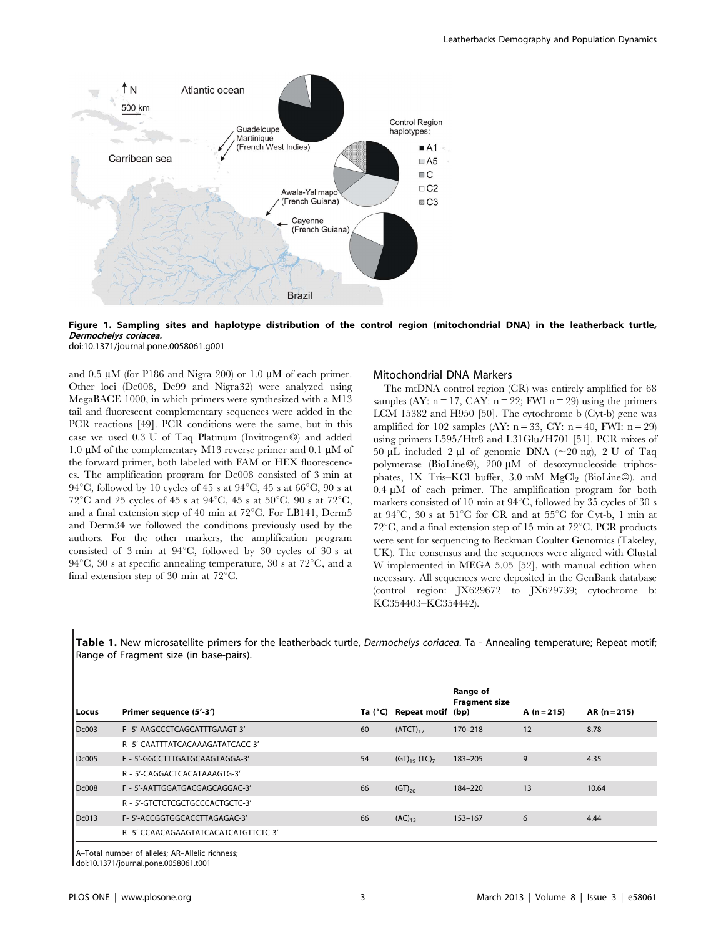

Figure 1. Sampling sites and haplotype distribution of the control region (mitochondrial DNA) in the leatherback turtle, Dermochelys coriacea.

doi:10.1371/journal.pone.0058061.g001

and  $0.5 \mu M$  (for P186 and Nigra 200) or 1.0  $\mu$ M of each primer. Other loci (Dc008, Dc99 and Nigra32) were analyzed using MegaBACE 1000, in which primers were synthesized with a M13 tail and fluorescent complementary sequences were added in the PCR reactions [49]. PCR conditions were the same, but in this case we used 0.3 U of Taq Platinum (Invitrogen<sup>®)</sup> and added 1.0  $\mu$ M of the complementary M13 reverse primer and 0.1  $\mu$ M of the forward primer, both labeled with FAM or HEX fluorescences. The amplification program for Dc008 consisted of 3 min at 94 $^{\circ}$ C, followed by 10 cycles of 45 s at 94 $^{\circ}$ C, 45 s at 66 $^{\circ}$ C, 90 s at 72<sup>°</sup>C and 25 cycles of 45 s at 94<sup>°</sup>C, 45 s at 50<sup>°</sup>C, 90 s at 72<sup>°</sup>C, and a final extension step of 40 min at  $72^{\circ}$ C. For LB141, Derm5 and Derm34 we followed the conditions previously used by the authors. For the other markers, the amplification program consisted of 3 min at 94°C, followed by 30 cycles of 30 s at 94 $^{\circ}$ C, 30 s at specific annealing temperature, 30 s at 72 $^{\circ}$ C, and a final extension step of 30 min at  $72^{\circ}$ C.

## Mitochondrial DNA Markers

The mtDNA control region (CR) was entirely amplified for 68 samples (AY:  $n = 17$ , CAY:  $n = 22$ ; FWI  $n = 29$ ) using the primers LCM 15382 and H950 [50]. The cytochrome b (Cyt-b) gene was amplified for 102 samples (AY:  $n = 33$ , CY:  $n = 40$ , FWI:  $n = 29$ ) using primers L595/Htr8 and L31Glu/H701 [51]. PCR mixes of 50 µL included 2 µl of genomic DNA  $(\sim 20 \text{ ng})$ , 2 U of Taq polymerase (BioLine©), 200 µM of desoxynucleoside triphosphates, 1X Tris–KCl buffer, 3.0 mM MgCl<sub>2</sub> (BioLine©), and  $0.4 \mu M$  of each primer. The amplification program for both markers consisted of 10 min at  $94^{\circ}$ C, followed by 35 cycles of 30 s at  $94^{\circ}$ C, 30 s at  $51^{\circ}$ C for CR and at  $55^{\circ}$ C for Cyt-b, 1 min at  $72^{\circ}$ C, and a final extension step of 15 min at  $72^{\circ}$ C. PCR products were sent for sequencing to Beckman Coulter Genomics (Takeley, UK). The consensus and the sequences were aligned with Clustal W implemented in MEGA 5.05 [52], with manual edition when necessary. All sequences were deposited in the GenBank database (control region: JX629672 to JX629739; cytochrome b: KC354403–KC354442).

Table 1. New microsatellite primers for the leatherback turtle, Dermochelys coriacea. Ta - Annealing temperature; Repeat motif; Range of Fragment size (in base-pairs).

| Locus        | Primer sequence (5'-3')              | Ta $(^{\circ}C)$ | Repeat motif (bp)             | Range of<br><b>Fragment size</b> | A $(n=215)$ | $AR(n=215)$ |
|--------------|--------------------------------------|------------------|-------------------------------|----------------------------------|-------------|-------------|
| Dc003        | F- 5'-AAGCCCTCAGCATTTGAAGT-3'        | 60               | $(ATCT)_{12}$                 | $170 - 218$                      | 12          | 8.78        |
|              | R-5'-CAATTTATCACAAAGATATCACC-3'      |                  |                               |                                  |             |             |
| <b>Dc005</b> | F - 5'-GGCCTTTGATGCAAGTAGGA-3'       | 54               | $(GT)_{19}$ (TC) <sub>7</sub> | $183 - 205$                      | 9           | 4.35        |
|              | R - 5'-CAGGACTCACATAAAGTG-3'         |                  |                               |                                  |             |             |
| <b>Dc008</b> | F - 5'-AATTGGATGACGAGCAGGAC-3'       | 66               | $(GT)_{20}$                   | 184-220                          | 13          | 10.64       |
|              | R - 5'-GTCTCTCGCTGCCCACTGCTC-3'      |                  |                               |                                  |             |             |
| Dc013        | F- 5'-ACCGGTGGCACCTTAGAGAC-3'        | 66               | $(AC)_{13}$                   | $153 - 167$                      | 6           | 4.44        |
|              | R- 5'-CCAACAGAAGTATCACATCATGTTCTC-3' |                  |                               |                                  |             |             |

A–Total number of alleles; AR–Allelic richness;

doi:10.1371/journal.pone.0058061.t001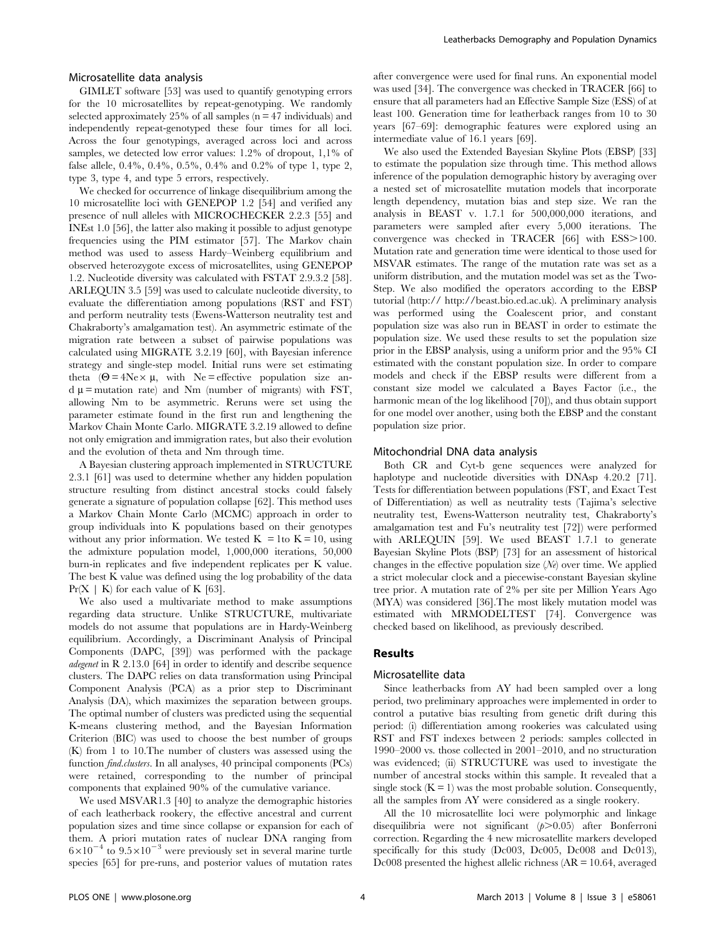#### Microsatellite data analysis

GIMLET software [53] was used to quantify genotyping errors for the 10 microsatellites by repeat-genotyping. We randomly selected approximately 25% of all samples  $(n = 47 \text{ individuals})$  and independently repeat-genotyped these four times for all loci. Across the four genotypings, averaged across loci and across samples, we detected low error values: 1.2% of dropout, 1,1% of false allele, 0.4%, 0.4%, 0.5%, 0.4% and 0.2% of type 1, type 2, type 3, type 4, and type 5 errors, respectively.

We checked for occurrence of linkage disequilibrium among the 10 microsatellite loci with GENEPOP 1.2 [54] and verified any presence of null alleles with MICROCHECKER 2.2.3 [55] and INEst 1.0 [56], the latter also making it possible to adjust genotype frequencies using the PIM estimator [57]. The Markov chain method was used to assess Hardy–Weinberg equilibrium and observed heterozygote excess of microsatellites, using GENEPOP 1.2. Nucleotide diversity was calculated with FSTAT 2.9.3.2 [58]. ARLEQUIN 3.5 [59] was used to calculate nucleotide diversity, to evaluate the differentiation among populations (RST and FST) and perform neutrality tests (Ewens-Watterson neutrality test and Chakraborty's amalgamation test). An asymmetric estimate of the migration rate between a subset of pairwise populations was calculated using MIGRATE 3.2.19 [60], with Bayesian inference strategy and single-step model. Initial runs were set estimating theta  $(\Theta = 4N_e \times \mu)$ , with Ne = effective population size an $d \mu$  = mutation rate) and Nm (number of migrants) with FST, allowing Nm to be asymmetric. Reruns were set using the parameter estimate found in the first run and lengthening the Markov Chain Monte Carlo. MIGRATE 3.2.19 allowed to define not only emigration and immigration rates, but also their evolution and the evolution of theta and Nm through time.

A Bayesian clustering approach implemented in STRUCTURE 2.3.1 [61] was used to determine whether any hidden population structure resulting from distinct ancestral stocks could falsely generate a signature of population collapse [62]. This method uses a Markov Chain Monte Carlo (MCMC) approach in order to group individuals into K populations based on their genotypes without any prior information. We tested  $K = 1$  to  $K = 10$ , using the admixture population model, 1,000,000 iterations, 50,000 burn-in replicates and five independent replicates per K value. The best K value was defined using the log probability of the data  $Pr(X \mid K)$  for each value of K [63].

We also used a multivariate method to make assumptions regarding data structure. Unlike STRUCTURE, multivariate models do not assume that populations are in Hardy-Weinberg equilibrium. Accordingly, a Discriminant Analysis of Principal Components (DAPC, [39]) was performed with the package adegenet in R 2.13.0 [64] in order to identify and describe sequence clusters. The DAPC relies on data transformation using Principal Component Analysis (PCA) as a prior step to Discriminant Analysis (DA), which maximizes the separation between groups. The optimal number of clusters was predicted using the sequential K-means clustering method, and the Bayesian Information Criterion (BIC) was used to choose the best number of groups (K) from 1 to 10.The number of clusters was assessed using the function find.clusters. In all analyses, 40 principal components (PCs) were retained, corresponding to the number of principal components that explained 90% of the cumulative variance.

We used MSVAR1.3 [40] to analyze the demographic histories of each leatherback rookery, the effective ancestral and current population sizes and time since collapse or expansion for each of them. A priori mutation rates of nuclear DNA ranging from  $6\times10^{-4}$  to  $9.5\times10^{-3}$  were previously set in several marine turtle species [65] for pre-runs, and posterior values of mutation rates after convergence were used for final runs. An exponential model was used [34]. The convergence was checked in TRACER [66] to ensure that all parameters had an Effective Sample Size (ESS) of at least 100. Generation time for leatherback ranges from 10 to 30 years [67–69]: demographic features were explored using an intermediate value of 16.1 years [69].

We also used the Extended Bayesian Skyline Plots (EBSP) [33] to estimate the population size through time. This method allows inference of the population demographic history by averaging over a nested set of microsatellite mutation models that incorporate length dependency, mutation bias and step size. We ran the analysis in BEAST v. 1.7.1 for 500,000,000 iterations, and parameters were sampled after every 5,000 iterations. The convergence was checked in TRACER [66] with ESS>100. Mutation rate and generation time were identical to those used for MSVAR estimates. The range of the mutation rate was set as a uniform distribution, and the mutation model was set as the Two-Step. We also modified the operators according to the EBSP tutorial (http:// http://beast.bio.ed.ac.uk). A preliminary analysis was performed using the Coalescent prior, and constant population size was also run in BEAST in order to estimate the population size. We used these results to set the population size prior in the EBSP analysis, using a uniform prior and the 95% CI estimated with the constant population size. In order to compare models and check if the EBSP results were different from a constant size model we calculated a Bayes Factor (i.e., the harmonic mean of the log likelihood [70]), and thus obtain support for one model over another, using both the EBSP and the constant population size prior.

#### Mitochondrial DNA data analysis

Both CR and Cyt-b gene sequences were analyzed for haplotype and nucleotide diversities with DNAsp 4.20.2 [71]. Tests for differentiation between populations (FST, and Exact Test of Differentiation) as well as neutrality tests (Tajima's selective neutrality test, Ewens-Watterson neutrality test, Chakraborty's amalgamation test and Fu's neutrality test [72]) were performed with ARLEQUIN [59]. We used BEAST 1.7.1 to generate Bayesian Skyline Plots (BSP) [73] for an assessment of historical changes in the effective population size  $(N_e)$  over time. We applied a strict molecular clock and a piecewise-constant Bayesian skyline tree prior. A mutation rate of 2% per site per Million Years Ago (MYA) was considered [36].The most likely mutation model was estimated with MRMODELTEST [74]. Convergence was checked based on likelihood, as previously described.

# Results

## Microsatellite data

Since leatherbacks from AY had been sampled over a long period, two preliminary approaches were implemented in order to control a putative bias resulting from genetic drift during this period: (i) differentiation among rookeries was calculated using RST and FST indexes between 2 periods: samples collected in 1990–2000 vs. those collected in 2001–2010, and no structuration was evidenced; (ii) STRUCTURE was used to investigate the number of ancestral stocks within this sample. It revealed that a single stock  $(K = 1)$  was the most probable solution. Consequently, all the samples from AY were considered as a single rookery.

All the 10 microsatellite loci were polymorphic and linkage disequilibria were not significant  $(p>0.05)$  after Bonferroni correction. Regarding the 4 new microsatellite markers developed specifically for this study (Dc003, Dc005, Dc008 and Dc013), Dc008 presented the highest allelic richness (AR = 10.64, averaged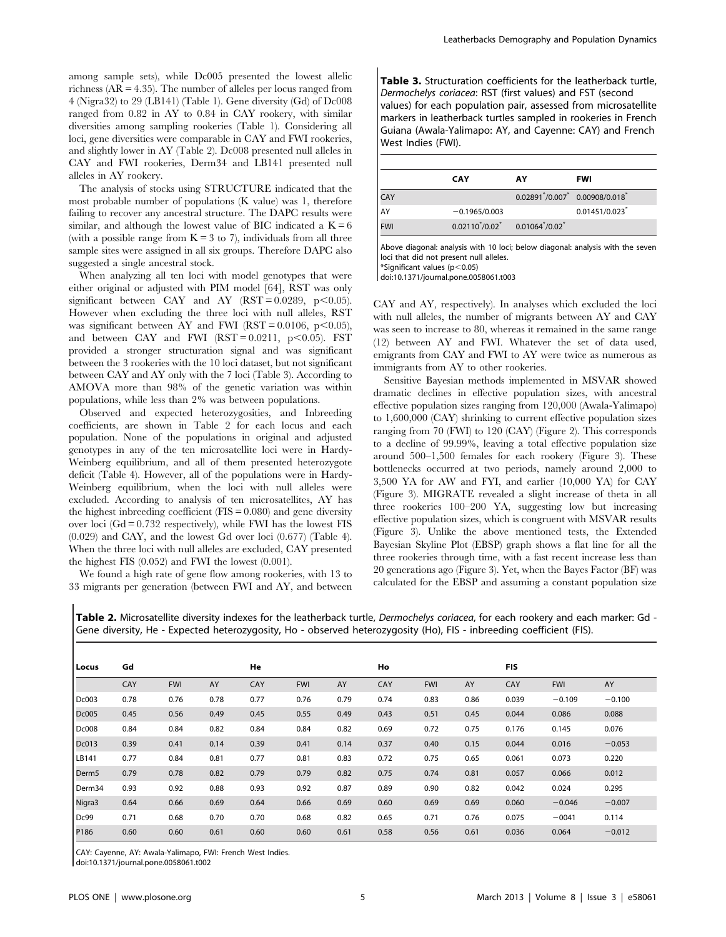among sample sets), while Dc005 presented the lowest allelic richness (AR = 4.35). The number of alleles per locus ranged from 4 (Nigra32) to 29 (LB141) (Table 1). Gene diversity (Gd) of Dc008 ranged from 0.82 in AY to 0.84 in CAY rookery, with similar diversities among sampling rookeries (Table 1). Considering all loci, gene diversities were comparable in CAY and FWI rookeries, and slightly lower in AY (Table 2). Dc008 presented null alleles in CAY and FWI rookeries, Derm34 and LB141 presented null alleles in AY rookery.

The analysis of stocks using STRUCTURE indicated that the most probable number of populations (K value) was 1, therefore failing to recover any ancestral structure. The DAPC results were similar, and although the lowest value of BIC indicated a  $K = 6$ (with a possible range from  $K = 3$  to 7), individuals from all three sample sites were assigned in all six groups. Therefore DAPC also suggested a single ancestral stock.

When analyzing all ten loci with model genotypes that were either original or adjusted with PIM model [64], RST was only significant between CAY and AY (RST =  $0.0289$ , p $<0.05$ ). However when excluding the three loci with null alleles, RST was significant between AY and FWI (RST =  $0.0106$ , p $\leq 0.05$ ), and between CAY and FWI ( $RST = 0.0211$ ,  $p < 0.05$ ). FST provided a stronger structuration signal and was significant between the 3 rookeries with the 10 loci dataset, but not significant between CAY and AY only with the 7 loci (Table 3). According to AMOVA more than 98% of the genetic variation was within populations, while less than 2% was between populations.

Observed and expected heterozygosities, and Inbreeding coefficients, are shown in Table 2 for each locus and each population. None of the populations in original and adjusted genotypes in any of the ten microsatellite loci were in Hardy-Weinberg equilibrium, and all of them presented heterozygote deficit (Table 4). However, all of the populations were in Hardy-Weinberg equilibrium, when the loci with null alleles were excluded. According to analysis of ten microsatellites, AY has the highest inbreeding coefficient  $(FIS = 0.080)$  and gene diversity over loci  $(Gd = 0.732$  respectively), while FWI has the lowest FIS (0.029) and CAY, and the lowest Gd over loci (0.677) (Table 4). When the three loci with null alleles are excluded, CAY presented the highest FIS (0.052) and FWI the lowest (0.001).

We found a high rate of gene flow among rookeries, with 13 to 33 migrants per generation (between FWI and AY, and between Table 3. Structuration coefficients for the leatherback turtle, Dermochelys coriacea: RST (first values) and FST (second values) for each population pair, assessed from microsatellite markers in leatherback turtles sampled in rookeries in French Guiana (Awala-Yalimapo: AY, and Cayenne: CAY) and French West Indies (FWI).

|            | <b>CAY</b>                                    | AY                                                 | <b>FWI</b>    |
|------------|-----------------------------------------------|----------------------------------------------------|---------------|
| CAY        |                                               | $0.02891^{*}/0.007^{*}$ 0.00908/0.018 <sup>*</sup> |               |
| AY         | $-0.1965/0.003$                               |                                                    | 0.01451/0.023 |
| <b>FWI</b> | $0.02110^{*}/0.02^{*}$ $0.01064^{*}/0.02^{*}$ |                                                    |               |

Above diagonal: analysis with 10 loci; below diagonal: analysis with the seven loci that did not present null alleles.  $*$ Significant values (p $<$ 0.05)

doi:10.1371/journal.pone.0058061.t003

CAY and AY, respectively). In analyses which excluded the loci with null alleles, the number of migrants between AY and CAY was seen to increase to 80, whereas it remained in the same range (12) between AY and FWI. Whatever the set of data used, emigrants from CAY and FWI to AY were twice as numerous as immigrants from AY to other rookeries.

Sensitive Bayesian methods implemented in MSVAR showed dramatic declines in effective population sizes, with ancestral effective population sizes ranging from 120,000 (Awala-Yalimapo) to 1,600,000 (CAY) shrinking to current effective population sizes ranging from 70 (FWI) to 120 (CAY) (Figure 2). This corresponds to a decline of 99.99%, leaving a total effective population size around 500–1,500 females for each rookery (Figure 3). These bottlenecks occurred at two periods, namely around 2,000 to 3,500 YA for AW and FYI, and earlier (10,000 YA) for CAY (Figure 3). MIGRATE revealed a slight increase of theta in all three rookeries 100–200 YA, suggesting low but increasing effective population sizes, which is congruent with MSVAR results (Figure 3). Unlike the above mentioned tests, the Extended Bayesian Skyline Plot (EBSP) graph shows a flat line for all the three rookeries through time, with a fast recent increase less than 20 generations ago (Figure 3). Yet, when the Bayes Factor (BF) was calculated for the EBSP and assuming a constant population size

Locus Gd He Ho FIS CAY FWI AY CAY FWI AY CAY FWI AY CAY FWI AY Dc003 0.78 0.76 0.78 0.77 0.76 0.79 0.74 0.83 0.86 0.039 20.109 20.100 Dc005 0.45 0.56 0.49 0.45 0.55 0.49 0.43 0.51 0.45 0.044 0.086 0.088 Dc008 0.84 0.84 0.82 0.84 0.84 0.82 0.69 0.72 0.75 0.176 0.145 0.076 Dc013 0.39 0.41 0.14 0.39 0.41 0.14 0.37 0.40 0.15 0.044 0.016 20.053 LB141 0.77 0.84 0.81 0.77 0.81 0.83 0.72 0.75 0.65 0.061 0.073 0.220 Derm5 0.79 0.78 0.82 0.79 0.79 0.82 0.75 0.74 0.81 0.057 0.066 0.012 Derm34 0.93 0.92 0.88 0.93 0.92 0.87 0.89 0.90 0.82 0.042 0.024 0.295 Nigra3 0.64 0.66 0.69 0.64 0.66 0.69 0.60 0.69 0.060 —0.046 —0.007 Dc99 0.71 0.68 0.70 0.70 0.68 0.82 0.65 0.71 0.76 0.075 20041 0.114 P186 0.60 0.60 0.61 0.60 0.60 0.61 0.58 0.56 0.61 0.036 0.064 -0.012

Table 2. Microsatellite diversity indexes for the leatherback turtle, Dermochelys coriacea, for each rookery and each marker: Gd -Gene diversity, He - Expected heterozygosity, Ho - observed heterozygosity (Ho), FIS - inbreeding coefficient (FIS).

CAY: Cayenne, AY: Awala-Yalimapo, FWI: French West Indies.

doi:10.1371/journal.pone.0058061.t002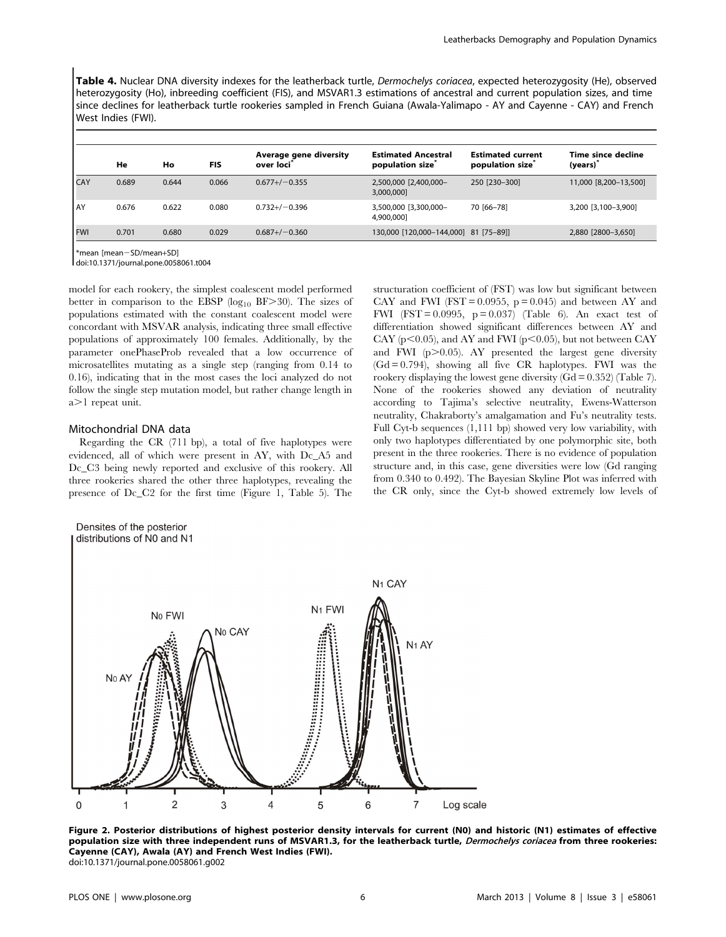Table 4. Nuclear DNA diversity indexes for the leatherback turtle, Dermochelys coriacea, expected heterozygosity (He), observed heterozygosity (Ho), inbreeding coefficient (FIS), and MSVAR1.3 estimations of ancestral and current population sizes, and time since declines for leatherback turtle rookeries sampled in French Guiana (Awala-Yalimapo - AY and Cayenne - CAY) and French West Indies (FWI).

|            | He    | Ho    | <b>FIS</b> | Average gene diversity<br>over loci <sup>®</sup> | <b>Estimated Ancestral</b><br>population size <sup>®</sup> | <b>Estimated current</b><br>population size | Time since decline<br>(years) |
|------------|-------|-------|------------|--------------------------------------------------|------------------------------------------------------------|---------------------------------------------|-------------------------------|
| CAY        | 0.689 | 0.644 | 0.066      | $0.677 + / -0.355$                               | 2,500,000 [2,400,000-<br>3,000,000]                        | 250 [230-300]                               | 11,000 [8,200-13,500]         |
| . AY       | 0.676 | 0.622 | 0.080      | $0.732+/-0.396$                                  | 3,500,000 [3,300,000-<br>4,900,000]                        | 70 [66-78]                                  | 3,200 [3,100-3,900]           |
| <b>FWI</b> | 0.701 | 0.680 | 0.029      | $0.687 + / -0.360$                               | 130,000 [120,000-144,000] 81 [75-89]]                      |                                             | 2,880 [2800-3,650]            |
|            |       |       |            |                                                  |                                                            |                                             |                               |

\*mean [mean-SD/mean+SD]

doi:10.1371/journal.pone.0058061.t004

model for each rookery, the simplest coalescent model performed better in comparison to the EBSP ( $log_{10}$  BF $>30$ ). The sizes of populations estimated with the constant coalescent model were concordant with MSVAR analysis, indicating three small effective populations of approximately 100 females. Additionally, by the parameter onePhaseProb revealed that a low occurrence of microsatellites mutating as a single step (ranging from 0.14 to 0.16), indicating that in the most cases the loci analyzed do not follow the single step mutation model, but rather change length in  $a > 1$  repeat unit.

#### Mitochondrial DNA data

Densites of the posterior distributions of N0 and N1

Regarding the CR (711 bp), a total of five haplotypes were evidenced, all of which were present in AY, with Dc\_A5 and Dc<sub>C3</sub> being newly reported and exclusive of this rookery. All three rookeries shared the other three haplotypes, revealing the presence of Dc\_C2 for the first time (Figure 1, Table 5). The structuration coefficient of (FST) was low but significant between CAY and FWI (FST =  $0.0955$ , p =  $0.045$ ) and between AY and FWI (FST =  $0.0995$ , p =  $0.037$ ) (Table 6). An exact test of differentiation showed significant differences between AY and CAY ( $p$ <0.05), and AY and FWI ( $p$ <0.05), but not between CAY and FWI  $(p>0.05)$ . AY presented the largest gene diversity  $(Gd = 0.794)$ , showing all five CR haplotypes. FWI was the rookery displaying the lowest gene diversity  $(Gd = 0.352)$  (Table 7). None of the rookeries showed any deviation of neutrality according to Tajima's selective neutrality, Ewens-Watterson neutrality, Chakraborty's amalgamation and Fu's neutrality tests. Full Cyt-b sequences (1,111 bp) showed very low variability, with only two haplotypes differentiated by one polymorphic site, both present in the three rookeries. There is no evidence of population structure and, in this case, gene diversities were low (Gd ranging from 0.340 to 0.492). The Bayesian Skyline Plot was inferred with the CR only, since the Cyt-b showed extremely low levels of



Figure 2. Posterior distributions of highest posterior density intervals for current (N0) and historic (N1) estimates of effective population size with three independent runs of MSVAR1.3, for the leatherback turtle, Dermochelys coriacea from three rookeries: Cayenne (CAY), Awala (AY) and French West Indies (FWI). doi:10.1371/journal.pone.0058061.g002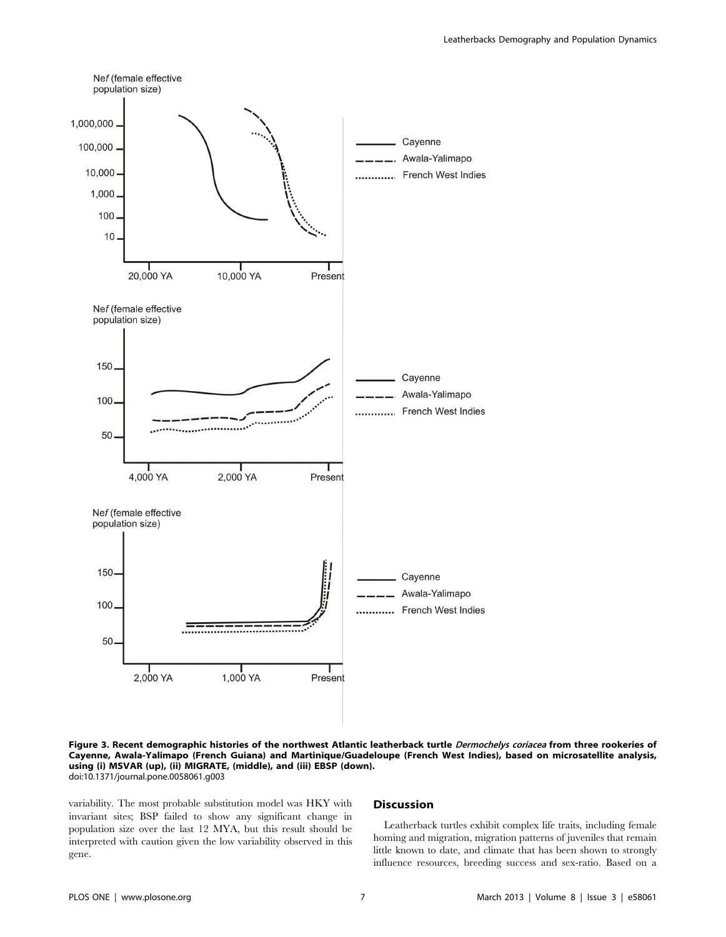

Figure 3. Recent demographic histories of the northwest Atlantic leatherback turtle Dermochelys coriacea from three rookeries of Cayenne, Awala-Yalimapo (French Guiana) and Martinique/Guadeloupe (French West Indies), based on microsatellite analysis, using (i) MSVAR (up), (ii) MIGRATE, (middle), and (iii) EBSP (down). doi:10.1371/journal.pone.0058061.g003

variability. The most probable substitution model was HKY with invariant sites; BSP failed to show any significant change in population size over the last 12 MYA, but this result should be interpreted with caution given the low variability observed in this gene.

## Discussion

Leatherback turtles exhibit complex life traits, including female homing and migration, migration patterns of juveniles that remain little known to date, and climate that has been shown to strongly influence resources, breeding success and sex-ratio. Based on a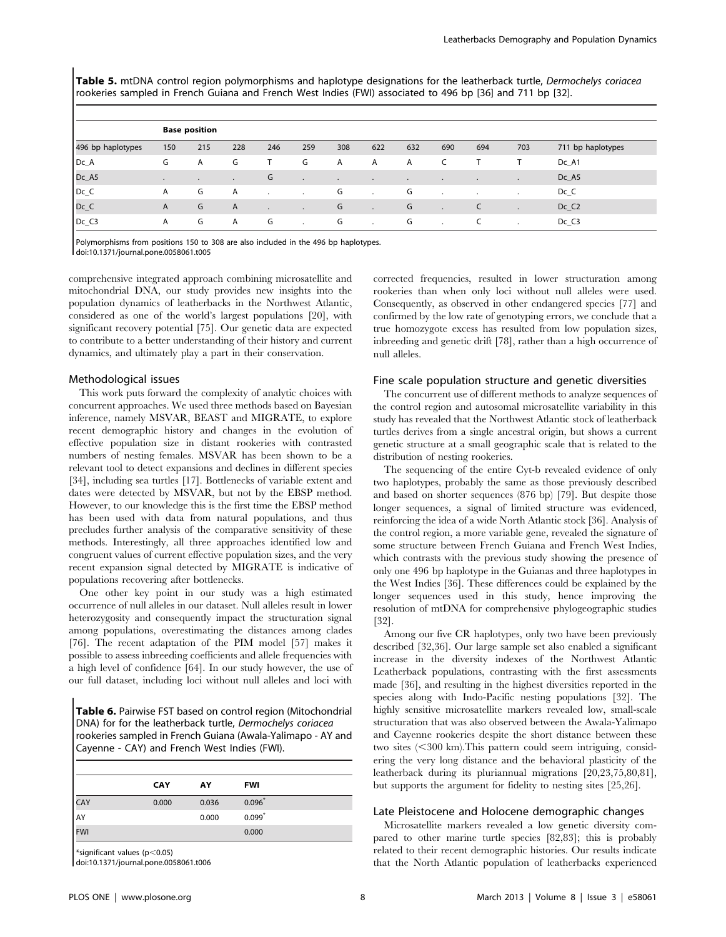Table 5. mtDNA control region polymorphisms and haplotype designations for the leatherback turtle, Dermochelys coriacea rookeries sampled in French Guiana and French West Indies (FWI) associated to 496 bp [36] and 711 bp [32].

|                   | <b>Base position</b> |           |         |         |                |              |              |              |           |     |           |                   |
|-------------------|----------------------|-----------|---------|---------|----------------|--------------|--------------|--------------|-----------|-----|-----------|-------------------|
| 496 bp haplotypes | 150                  | 215       | 228     | 246     | 259            | 308          | 622          | 632          | 690       | 694 | 703       | 711 bp haplotypes |
| $DC_A$            | G                    | A         | G       | т       | G              | $\mathsf{A}$ | $\mathsf{A}$ | $\mathsf{A}$ |           |     |           | Dc_A1             |
| Dc_A5             |                      | $\bullet$ | $\cdot$ | G       | $\blacksquare$ | $\bullet$    | $\bullet$    | $\bullet$    | $\bullet$ |     | $\bullet$ | $Dc_A5$           |
| $DC_C$            | A                    | G         | A       | ۰.      | . .            | G            | $\cdot$      | G            | $\cdot$   |     |           | $Dc_C$            |
| $Dc_C$            | $\mathsf{A}$         | G         | A       | $\cdot$ | $\cdot$        | G            | $\bullet$    | G            | $\cdot$   |     |           | $Dc_C2$           |
| $DC_C3$           | A                    | G         | A       | G       | $\mathbf{r}$   | G            | $\cdot$      | G            | $\cdot$   | C   |           | $Dc_C3$           |

Polymorphisms from positions 150 to 308 are also included in the 496 bp haplotypes.

doi:10.1371/journal.pone.0058061.t005

comprehensive integrated approach combining microsatellite and mitochondrial DNA, our study provides new insights into the population dynamics of leatherbacks in the Northwest Atlantic, considered as one of the world's largest populations [20], with significant recovery potential [75]. Our genetic data are expected to contribute to a better understanding of their history and current dynamics, and ultimately play a part in their conservation.

# Methodological issues

This work puts forward the complexity of analytic choices with concurrent approaches. We used three methods based on Bayesian inference, namely MSVAR, BEAST and MIGRATE, to explore recent demographic history and changes in the evolution of effective population size in distant rookeries with contrasted numbers of nesting females. MSVAR has been shown to be a relevant tool to detect expansions and declines in different species [34], including sea turtles [17]. Bottlenecks of variable extent and dates were detected by MSVAR, but not by the EBSP method. However, to our knowledge this is the first time the EBSP method has been used with data from natural populations, and thus precludes further analysis of the comparative sensitivity of these methods. Interestingly, all three approaches identified low and congruent values of current effective population sizes, and the very recent expansion signal detected by MIGRATE is indicative of populations recovering after bottlenecks.

One other key point in our study was a high estimated occurrence of null alleles in our dataset. Null alleles result in lower heterozygosity and consequently impact the structuration signal among populations, overestimating the distances among clades [76]. The recent adaptation of the PIM model [57] makes it possible to assess inbreeding coefficients and allele frequencies with a high level of confidence [64]. In our study however, the use of our full dataset, including loci without null alleles and loci with

Table 6. Pairwise FST based on control region (Mitochondrial DNA) for for the leatherback turtle, Dermochelys coriacea rookeries sampled in French Guiana (Awala-Yalimapo - AY and Cayenne - CAY) and French West Indies (FWI).

|            | <b>CAY</b> | AY    | <b>FWI</b> |  |
|------------|------------|-------|------------|--|
| <b>CAY</b> | 0.000      | 0.036 | $0.096*$   |  |
| AY         |            | 0.000 | $0.099*$   |  |
| <b>FWI</b> |            |       | 0.000      |  |

 $*$ significant values (p $<$ 0.05)

doi:10.1371/journal.pone.0058061.t006

corrected frequencies, resulted in lower structuration among rookeries than when only loci without null alleles were used. Consequently, as observed in other endangered species [77] and confirmed by the low rate of genotyping errors, we conclude that a true homozygote excess has resulted from low population sizes, inbreeding and genetic drift [78], rather than a high occurrence of null alleles.

# Fine scale population structure and genetic diversities

The concurrent use of different methods to analyze sequences of the control region and autosomal microsatellite variability in this study has revealed that the Northwest Atlantic stock of leatherback turtles derives from a single ancestral origin, but shows a current genetic structure at a small geographic scale that is related to the distribution of nesting rookeries.

The sequencing of the entire Cyt-b revealed evidence of only two haplotypes, probably the same as those previously described and based on shorter sequences (876 bp) [79]. But despite those longer sequences, a signal of limited structure was evidenced, reinforcing the idea of a wide North Atlantic stock [36]. Analysis of the control region, a more variable gene, revealed the signature of some structure between French Guiana and French West Indies, which contrasts with the previous study showing the presence of only one 496 bp haplotype in the Guianas and three haplotypes in the West Indies [36]. These differences could be explained by the longer sequences used in this study, hence improving the resolution of mtDNA for comprehensive phylogeographic studies [32].

Among our five CR haplotypes, only two have been previously described [32,36]. Our large sample set also enabled a significant increase in the diversity indexes of the Northwest Atlantic Leatherback populations, contrasting with the first assessments made [36], and resulting in the highest diversities reported in the species along with Indo-Pacific nesting populations [32]. The highly sensitive microsatellite markers revealed low, small-scale structuration that was also observed between the Awala-Yalimapo and Cayenne rookeries despite the short distance between these two sites  $( $300 \text{ km}$ ). This pattern could seem intriguing, consid$ ering the very long distance and the behavioral plasticity of the leatherback during its pluriannual migrations [20,23,75,80,81], but supports the argument for fidelity to nesting sites [25,26].

# Late Pleistocene and Holocene demographic changes

Microsatellite markers revealed a low genetic diversity compared to other marine turtle species [82,83]; this is probably related to their recent demographic histories. Our results indicate that the North Atlantic population of leatherbacks experienced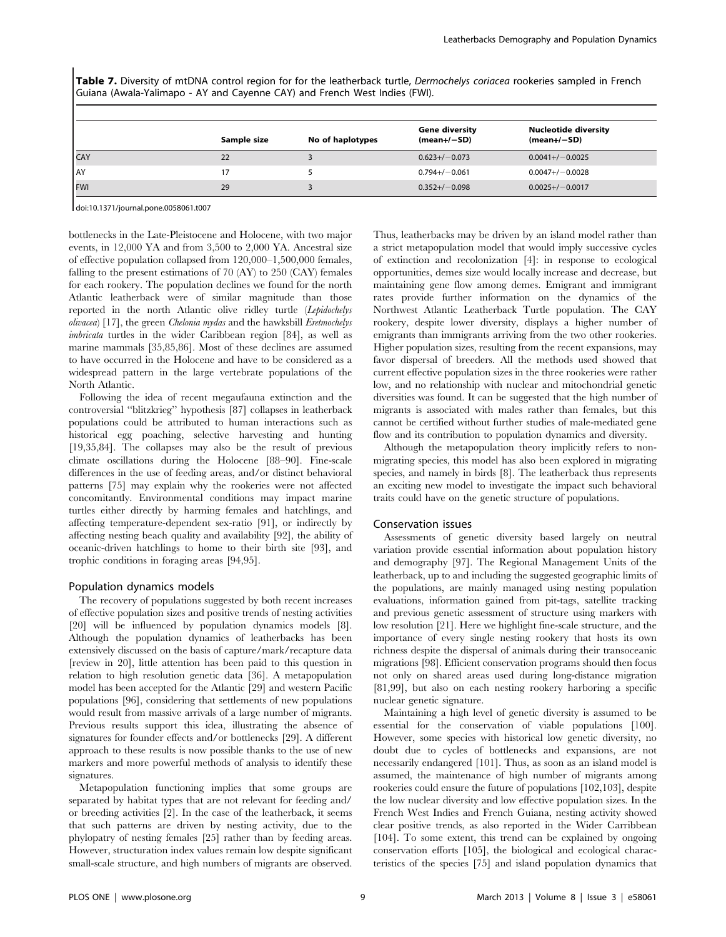Table 7. Diversity of mtDNA control region for for the leatherback turtle, Dermochelys coriacea rookeries sampled in French Guiana (Awala-Yalimapo - AY and Cayenne CAY) and French West Indies (FWI).

|            | Sample size | No of haplotypes | <b>Gene diversity</b><br>$(mean+/-SD)$ | <b>Nucleotide diversity</b><br>$(mean+/-SD)$ |
|------------|-------------|------------------|----------------------------------------|----------------------------------------------|
| <b>CAY</b> | 22          |                  | $0.623 + / -0.073$                     | $0.0041+/-0.0025$                            |
| <b>AY</b>  | 17          |                  | $0.794 + / -0.061$                     | $0.0047+/-0.0028$                            |
| <b>FWI</b> | 29          |                  | $0.352+/-0.098$                        | $0.0025+/-0.0017$                            |

doi:10.1371/journal.pone.0058061.t007

bottlenecks in the Late-Pleistocene and Holocene, with two major events, in 12,000 YA and from 3,500 to 2,000 YA. Ancestral size of effective population collapsed from 120,000–1,500,000 females, falling to the present estimations of 70 (AY) to 250 (CAY) females for each rookery. The population declines we found for the north Atlantic leatherback were of similar magnitude than those reported in the north Atlantic olive ridley turtle (Lepidochelys olivacea) [17], the green Chelonia mydas and the hawksbill Eretmochelys imbricata turtles in the wider Caribbean region [84], as well as marine mammals [35,85,86]. Most of these declines are assumed to have occurred in the Holocene and have to be considered as a widespread pattern in the large vertebrate populations of the North Atlantic.

Following the idea of recent megaufauna extinction and the controversial ''blitzkrieg'' hypothesis [87] collapses in leatherback populations could be attributed to human interactions such as historical egg poaching, selective harvesting and hunting [19,35,84]. The collapses may also be the result of previous climate oscillations during the Holocene [88–90]. Fine-scale differences in the use of feeding areas, and/or distinct behavioral patterns [75] may explain why the rookeries were not affected concomitantly. Environmental conditions may impact marine turtles either directly by harming females and hatchlings, and affecting temperature-dependent sex-ratio [91], or indirectly by affecting nesting beach quality and availability [92], the ability of oceanic-driven hatchlings to home to their birth site [93], and trophic conditions in foraging areas [94,95].

## Population dynamics models

The recovery of populations suggested by both recent increases of effective population sizes and positive trends of nesting activities [20] will be influenced by population dynamics models [8]. Although the population dynamics of leatherbacks has been extensively discussed on the basis of capture/mark/recapture data [review in 20], little attention has been paid to this question in relation to high resolution genetic data [36]. A metapopulation model has been accepted for the Atlantic [29] and western Pacific populations [96], considering that settlements of new populations would result from massive arrivals of a large number of migrants. Previous results support this idea, illustrating the absence of signatures for founder effects and/or bottlenecks [29]. A different approach to these results is now possible thanks to the use of new markers and more powerful methods of analysis to identify these signatures.

Metapopulation functioning implies that some groups are separated by habitat types that are not relevant for feeding and/ or breeding activities [2]. In the case of the leatherback, it seems that such patterns are driven by nesting activity, due to the phylopatry of nesting females [25] rather than by feeding areas. However, structuration index values remain low despite significant small-scale structure, and high numbers of migrants are observed. Thus, leatherbacks may be driven by an island model rather than a strict metapopulation model that would imply successive cycles of extinction and recolonization [4]: in response to ecological opportunities, demes size would locally increase and decrease, but maintaining gene flow among demes. Emigrant and immigrant rates provide further information on the dynamics of the Northwest Atlantic Leatherback Turtle population. The CAY rookery, despite lower diversity, displays a higher number of emigrants than immigrants arriving from the two other rookeries. Higher population sizes, resulting from the recent expansions, may favor dispersal of breeders. All the methods used showed that current effective population sizes in the three rookeries were rather low, and no relationship with nuclear and mitochondrial genetic diversities was found. It can be suggested that the high number of migrants is associated with males rather than females, but this cannot be certified without further studies of male-mediated gene flow and its contribution to population dynamics and diversity.

Although the metapopulation theory implicitly refers to nonmigrating species, this model has also been explored in migrating species, and namely in birds [8]. The leatherback thus represents an exciting new model to investigate the impact such behavioral traits could have on the genetic structure of populations.

# Conservation issues

Assessments of genetic diversity based largely on neutral variation provide essential information about population history and demography [97]. The Regional Management Units of the leatherback, up to and including the suggested geographic limits of the populations, are mainly managed using nesting population evaluations, information gained from pit-tags, satellite tracking and previous genetic assessment of structure using markers with low resolution [21]. Here we highlight fine-scale structure, and the importance of every single nesting rookery that hosts its own richness despite the dispersal of animals during their transoceanic migrations [98]. Efficient conservation programs should then focus not only on shared areas used during long-distance migration [81,99], but also on each nesting rookery harboring a specific nuclear genetic signature.

Maintaining a high level of genetic diversity is assumed to be essential for the conservation of viable populations [100]. However, some species with historical low genetic diversity, no doubt due to cycles of bottlenecks and expansions, are not necessarily endangered [101]. Thus, as soon as an island model is assumed, the maintenance of high number of migrants among rookeries could ensure the future of populations [102,103], despite the low nuclear diversity and low effective population sizes. In the French West Indies and French Guiana, nesting activity showed clear positive trends, as also reported in the Wider Carribbean [104]. To some extent, this trend can be explained by ongoing conservation efforts [105], the biological and ecological characteristics of the species [75] and island population dynamics that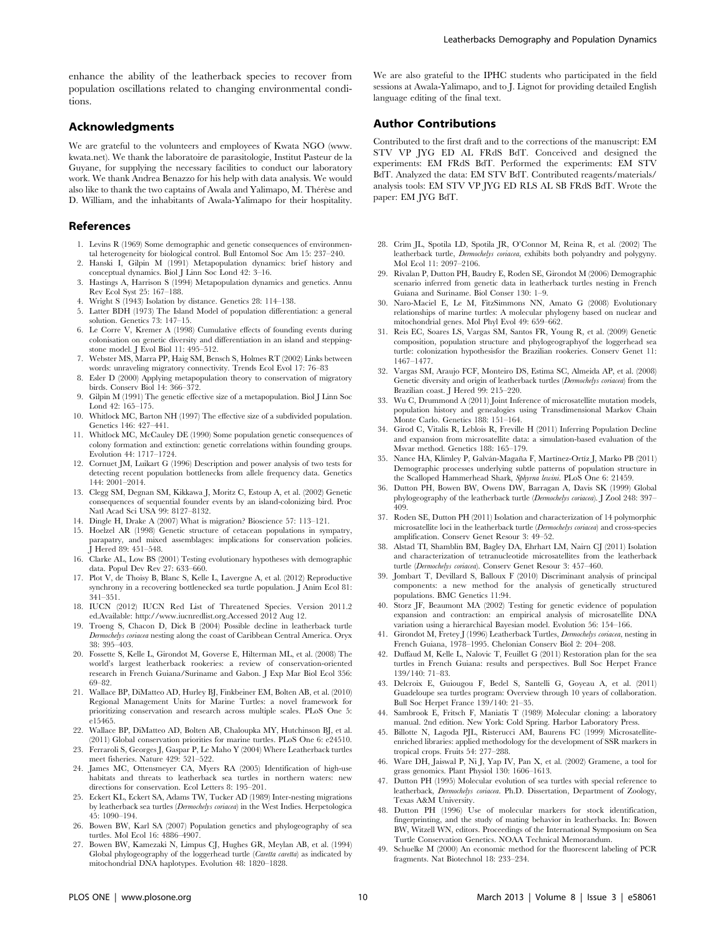enhance the ability of the leatherback species to recover from population oscillations related to changing environmental conditions.

# Acknowledgments

We are grateful to the volunteers and employees of Kwata NGO (www. kwata.net). We thank the laboratoire de parasitologie, Institut Pasteur de la Guyane, for supplying the necessary facilities to conduct our laboratory work. We thank Andrea Benazzo for his help with data analysis. We would also like to thank the two captains of Awala and Yalimapo, M. Thérèse and D. William, and the inhabitants of Awala-Yalimapo for their hospitality.

## References

- 1. Levins R (1969) Some demographic and genetic consequences of environmental heterogeneity for biological control. Bull Entomol Soc Am 15: 237–240.
- 2. Hanski I, Gilpin M (1991) Metapopulation dynamics: brief history and conceptual dynamics. Biol J Linn Soc Lond 42: 3–16.
- 3. Hastings A, Harrison S (1994) Metapopulation dynamics and genetics. Annu Rev Ecol Syst 25: 167–188.
- 4. Wright S (1943) Isolation by distance. Genetics 28: 114–138.
- 5. Latter BDH (1973) The Island Model of population differentiation: a general solution. Genetics 73: 147–15.
- 6. Le Corre V, Kremer A (1998) Cumulative effects of founding events during colonisation on genetic diversity and differentiation in an island and steppingstone model. J Evol Biol 11: 495–512.
- 7. Webster MS, Marra PP, Haig SM, Bensch S, Holmes RT (2002) Links between words: unraveling migratory connectivity. Trends Ecol Evol 17: 76–83
- 8. Esler D (2000) Applying metapopulation theory to conservation of migratory birds. Conserv Biol 14: 366–372.
- 9. Gilpin M (1991) The genetic effective size of a metapopulation. Biol J Linn Soc Lond 42: 165–175.
- 10. Whitlock MC, Barton NH (1997) The effective size of a subdivided population. Genetics 146: 427–441.
- 11. Whitlock MC, McCauley DE (1990) Some population genetic consequences of colony formation and extinction: genetic correlations within founding groups. Evolution 44: 1717–1724.
- 12. Cornuet JM, Luikart G (1996) Description and power analysis of two tests for detecting recent population bottlenecks from allele frequency data. Genetics 144: 2001–2014.
- 13. Clegg SM, Degnan SM, Kikkawa J, Moritz C, Estoup A, et al. (2002) Genetic consequences of sequential founder events by an island-colonizing bird. Proc Natl Acad Sci USA 99: 8127–8132.
- 14. Dingle H, Drake A (2007) What is migration? Bioscience 57: 113–121.
- 15. Hoelzel AR (1998) Genetic structure of cetacean populations in sympatry, parapatry, and mixed assemblages: implications for conservation policies. J Hered 89: 451–548.
- 16. Clarke AL, Low BS (2001) Testing evolutionary hypotheses with demographic data. Popul Dev Rev 27: 633–660.
- 17. Plot V, de Thoisy B, Blanc S, Kelle L, Lavergne A, et al. (2012) Reproductive synchrony in a recovering bottlenecked sea turtle population. J Anim Ecol 81: 341–351.
- 18. IUCN (2012) IUCN Red List of Threatened Species. Version 2011.2 ed.Available: http://www.iucnredlist.org.Accessed 2012 Aug 12.
- 19. Troeng S, Chacon D, Dick B (2004) Possible decline in leatherback turtle Dermochelys coriacea nesting along the coast of Caribbean Central America. Oryx 38: 395–403.
- 20. Fossette S, Kelle L, Girondot M, Goverse E, Hilterman ML, et al. (2008) The world's largest leatherback rookeries: a review of conservation-oriented research in French Guiana/Suriname and Gabon. J Exp Mar Biol Ecol 356: 69–82.
- 21. Wallace BP, DiMatteo AD, Hurley BJ, Finkbeiner EM, Bolten AB, et al. (2010) Regional Management Units for Marine Turtles: a novel framework for prioritizing conservation and research across multiple scales. PLoS One 5: e15465.
- 22. Wallace BP, DiMatteo AD, Bolten AB, Chaloupka MY, Hutchinson BJ, et al. (2011) Global conservation priorities for marine turtles. PLoS One 6: e24510.
- 23. Ferraroli S, Georges J, Gaspar P, Le Maho Y (2004) Where Leatherback turtles meet fisheries. Nature 429: 521–522.
- 24. James MC, Ottensmeyer CA, Myers RA (2005) Identification of high-use habitats and threats to leatherback sea turtles in northern waters: new directions for conservation. Ecol Letters 8: 195–201.
- 25. Eckert KL, Eckert SA, Adams TW, Tucker AD (1989) Inter-nesting migrations by leatherback sea turtles (Dermochelys coriacea) in the West Indies. Herpetologica 45: 1090–194.
- 26. Bowen BW, Karl SA (2007) Population genetics and phylogeography of sea turtles. Mol Ecol 16: 4886–4907.
- 27. Bowen BW, Kamezaki N, Limpus CJ, Hughes GR, Meylan AB, et al. (1994) Global phylogeography of the loggerhead turtle (Caretta caretta) as indicated by mitochondrial DNA haplotypes. Evolution 48: 1820–1828.

We are also grateful to the IPHC students who participated in the field sessions at Awala-Yalimapo, and to J. Lignot for providing detailed English language editing of the final text.

# Author Contributions

Contributed to the first draft and to the corrections of the manuscript: EM STV VP JYG ED AL FRdS BdT. Conceived and designed the experiments: EM FRdS BdT. Performed the experiments: EM STV BdT. Analyzed the data: EM STV BdT. Contributed reagents/materials/ analysis tools: EM STV VP JYG ED RLS AL SB FRdS BdT. Wrote the paper: EM JYG BdT.

- 28. Crim JL, Spotila LD, Spotila JR, O'Connor M, Reina R, et al. (2002) The leatherback turtle, Dermochelys coriacea, exhibits both polyandry and polygyny. Mol Ecol 11: 2097–2106.
- 29. Rivalan P, Dutton PH, Baudry E, Roden SE, Girondot M (2006) Demographic scenario inferred from genetic data in leatherback turtles nesting in French Guiana and Suriname. Biol Conser 130: 1–9.
- 30. Naro-Maciel E, Le M, FitzSimmons NN, Amato G (2008) Evolutionary relationships of marine turtles: A molecular phylogeny based on nuclear and mitochondrial genes. Mol Phyl Evol 49: 659–662.
- 31. Reis EC, Soares LS, Vargas SM, Santos FR, Young R, et al. (2009) Genetic composition, population structure and phylogeographyof the loggerhead sea turtle: colonization hypothesisfor the Brazilian rookeries. Conserv Genet 11: 1467–1477.
- 32. Vargas SM, Araujo FCF, Monteiro DS, Estima SC, Almeida AP, et al. (2008) Genetic diversity and origin of leatherback turtles (Dermochelys coriacea) from the Brazilian coast. J Hered 99: 215–220.
- 33. Wu C, Drummond A (2011) Joint Inference of microsatellite mutation models, population history and genealogies using Transdimensional Markov Chain Monte Carlo. Genetics 188: 151–164.
- 34. Girod C, Vitalis R, Leblois R, Freville H (2011) Inferring Population Decline and expansion from microsatellite data: a simulation-based evaluation of the Msvar method. Genetics 188: 165–179.
- 35. Nance HA, Klimley P, Galván-Magaña F, Martínez-Ortíz J, Marko PB (2011) Demographic processes underlying subtle patterns of population structure in the Scalloped Hammerhead Shark, Sphyrna lewini. PLoS One 6: 21459.
- 36. Dutton PH, Bowen BW, Owens DW, Barragan A, Davis SK (1999) Global phylogeography of the leatherback turtle (Dermochelys coriacea). J Zool 248: 397-409.
- 37. Roden SE, Dutton PH (2011) Isolation and characterization of 14 polymorphic microsatellite loci in the leatherback turtle (Dermochelys coriacea) and cross-species amplification. Conserv Genet Resour 3: 49–52.
- 38. Alstad TI, Shamblin BM, Bagley DA, Ehrhart LM, Nairn CJ (2011) Isolation and characterization of tetranucleotide microsatellites from the leatherback turtle (Dermochelys coriacea). Conserv Genet Resour 3: 457–460.
- 39. Jombart T, Devillard S, Balloux F (2010) Discriminant analysis of principal components: a new method for the analysis of genetically structured populations. BMC Genetics 11:94.
- 40. Storz JF, Beaumont MA (2002) Testing for genetic evidence of population expansion and contraction: an empirical analysis of microsatellite DNA variation using a hierarchical Bayesian model. Evolution 56: 154–166.
- 41. Girondot M, Fretey J (1996) Leatherback Turtles, Dermochelys coriacea, nesting in French Guiana, 1978–1995. Chelonian Conserv Biol 2: 204–208.
- 42. Duffaud M, Kelle L, Nalovic T, Feuillet G (2011) Restoration plan for the sea turtles in French Guiana: results and perspectives. Bull Soc Herpet France 139/140: 71–83.
- 43. Delcroix E, Guiougou F, Bedel S, Santelli G, Goyeau A, et al. (2011) Guadeloupe sea turtles program: Overview through 10 years of collaboration. Bull Soc Herpet France 139/140: 21–35.
- 44. Sambrook E, Fritsch F, Maniatis T (1989) Molecular cloning: a laboratory manual. 2nd edition. New York: Cold Spring. Harbor Laboratory Press.
- 45. Billotte N, Lagoda PJL, Risterucci AM, Baurens FC (1999) Microsatelliteenriched libraries: applied methodology for the development of SSR markers in tropical crops. Fruits 54: 277–288.
- 46. Ware DH, Jaiswal P, Ni J, Yap IV, Pan X, et al. (2002) Gramene, a tool for grass genomics. Plant Physiol 130: 1606–1613.
- 47. Dutton PH (1995) Molecular evolution of sea turtles with special reference to leatherback, Dermochelys coriacea. Ph.D. Dissertation, Department of Zoology, Texas A&M University.
- 48. Dutton PH (1996) Use of molecular markers for stock identification, fingerprinting, and the study of mating behavior in leatherbacks. In: Bowen BW, Witzell WN, editors. Proceedings of the International Symposium on Sea Turtle Conservation Genetics. NOAA Technical Memorandum.
- Schuelke M (2000) An economic method for the fluorescent labeling of PCR fragments. Nat Biotechnol 18: 233–234.